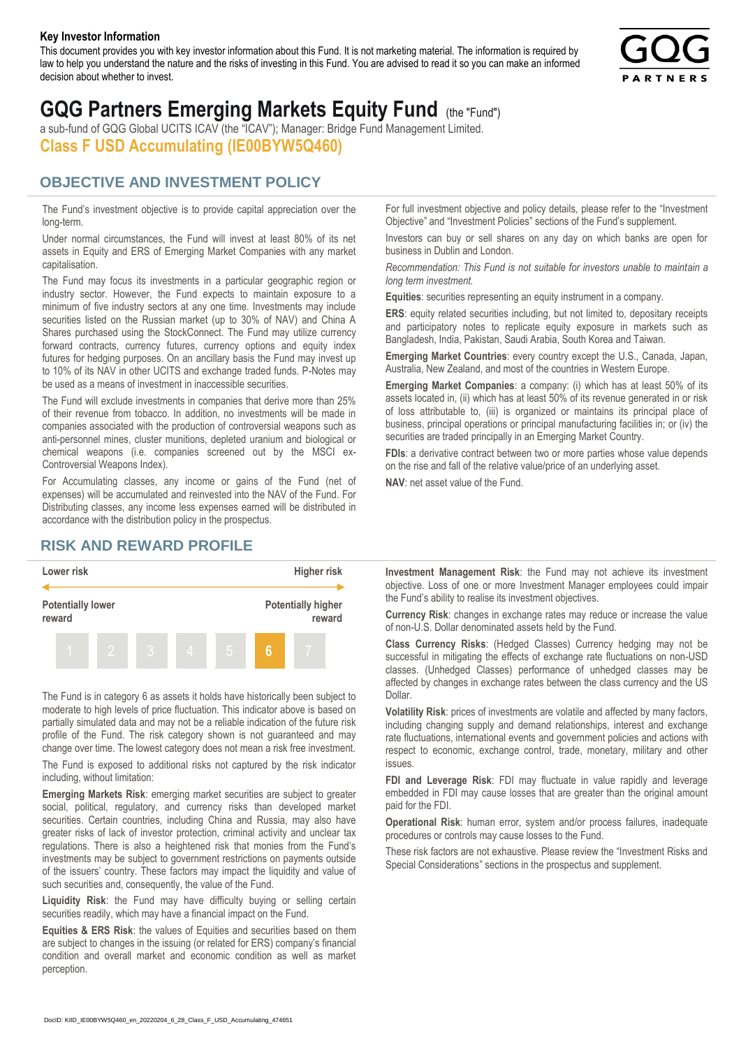#### **Key Investor Information**

This document provides you with key investor information about this Fund. It is not marketing material. The information is required by law to help you understand the nature and the risks of investing in this Fund. You are advised to read it so you can make an informed decision about whether to invest.



# **GQG Partners Emerging Markets Equity Fund** (the "Fund")

a sub-fund of GQG Global UCITS ICAV (the "ICAV"); Manager: Bridge Fund Management Limited. **Class F USD Accumulating (IE00BYW5Q460)**

### **OBJECTIVE AND INVESTMENT POLICY**

The Fund's investment objective is to provide capital appreciation over the long-term.

Under normal circumstances, the Fund will invest at least 80% of its net assets in Equity and ERS of Emerging Market Companies with any market capitalisation.

The Fund may focus its investments in a particular geographic region or industry sector. However, the Fund expects to maintain exposure to a minimum of five industry sectors at any one time. Investments may include securities listed on the Russian market (up to 30% of NAV) and China A Shares purchased using the StockConnect. The Fund may utilize currency forward contracts, currency futures, currency options and equity index futures for hedging purposes. On an ancillary basis the Fund may invest up to 10% of its NAV in other UCITS and exchange traded funds. P-Notes may be used as a means of investment in inaccessible securities.

The Fund will exclude investments in companies that derive more than 25% of their revenue from tobacco. In addition, no investments will be made in companies associated with the production of controversial weapons such as anti-personnel mines, cluster munitions, depleted uranium and biological or chemical weapons (i.e. companies screened out by the MSCI ex-Controversial Weapons Index).

For Accumulating classes, any income or gains of the Fund (net of expenses) will be accumulated and reinvested into the NAV of the Fund. For Distributing classes, any income less expenses earned will be distributed in accordance with the distribution policy in the prospectus.

## **RISK AND REWARD PROFILE**



The Fund is in category 6 as assets it holds have historically been subject to moderate to high levels of price fluctuation. This indicator above is based on partially simulated data and may not be a reliable indication of the future risk profile of the Fund. The risk category shown is not guaranteed and may change over time. The lowest category does not mean a risk free investment.

The Fund is exposed to additional risks not captured by the risk indicator including, without limitation:

**Emerging Markets Risk**: emerging market securities are subject to greater social, political, regulatory, and currency risks than developed market securities. Certain countries, including China and Russia, may also have greater risks of lack of investor protection, criminal activity and unclear tax regulations. There is also a heightened risk that monies from the Fund's investments may be subject to government restrictions on payments outside of the issuers' country. These factors may impact the liquidity and value of such securities and, consequently, the value of the Fund.

**Liquidity Risk**: the Fund may have difficulty buying or selling certain securities readily, which may have a financial impact on the Fund.

**Equities & ERS Risk**: the values of Equities and securities based on them are subject to changes in the issuing (or related for ERS) company's financial condition and overall market and economic condition as well as market perception.

For full investment objective and policy details, please refer to the "Investment Objective" and "Investment Policies" sections of the Fund's supplement.

Investors can buy or sell shares on any day on which banks are open for business in Dublin and London.

*Recommendation: This Fund is not suitable for investors unable to maintain a long term investment.*

**Equities**: securities representing an equity instrument in a company.

**ERS:** equity related securities including, but not limited to, depositary receipts and participatory notes to replicate equity exposure in markets such as Bangladesh, India, Pakistan, Saudi Arabia, South Korea and Taiwan.

**Emerging Market Countries**: every country except the U.S., Canada, Japan, Australia, New Zealand, and most of the countries in Western Europe.

**Emerging Market Companies**: a company: (i) which has at least 50% of its assets located in, (ii) which has at least 50% of its revenue generated in or risk of loss attributable to, (iii) is organized or maintains its principal place of business, principal operations or principal manufacturing facilities in; or (iv) the securities are traded principally in an Emerging Market Country.

**FDIs**: a derivative contract between two or more parties whose value depends on the rise and fall of the relative value/price of an underlying asset.

**NAV**: net asset value of the Fund.

**Investment Management Risk**: the Fund may not achieve its investment objective. Loss of one or more Investment Manager employees could impair the Fund's ability to realise its investment objectives.

**Currency Risk**: changes in exchange rates may reduce or increase the value of non-U.S. Dollar denominated assets held by the Fund.

**Class Currency Risks**: (Hedged Classes) Currency hedging may not be successful in mitigating the effects of exchange rate fluctuations on non-USD classes. (Unhedged Classes) performance of unhedged classes may be affected by changes in exchange rates between the class currency and the US Dollar.

**Volatility Risk**: prices of investments are volatile and affected by many factors, including changing supply and demand relationships, interest and exchange rate fluctuations, international events and government policies and actions with respect to economic, exchange control, trade, monetary, military and other issues.

**FDI and Leverage Risk**: FDI may fluctuate in value rapidly and leverage embedded in FDI may cause losses that are greater than the original amount paid for the FDI.

**Operational Risk**: human error, system and/or process failures, inadequate procedures or controls may cause losses to the Fund.

These risk factors are not exhaustive. Please review the "Investment Risks and Special Considerations" sections in the prospectus and supplement.